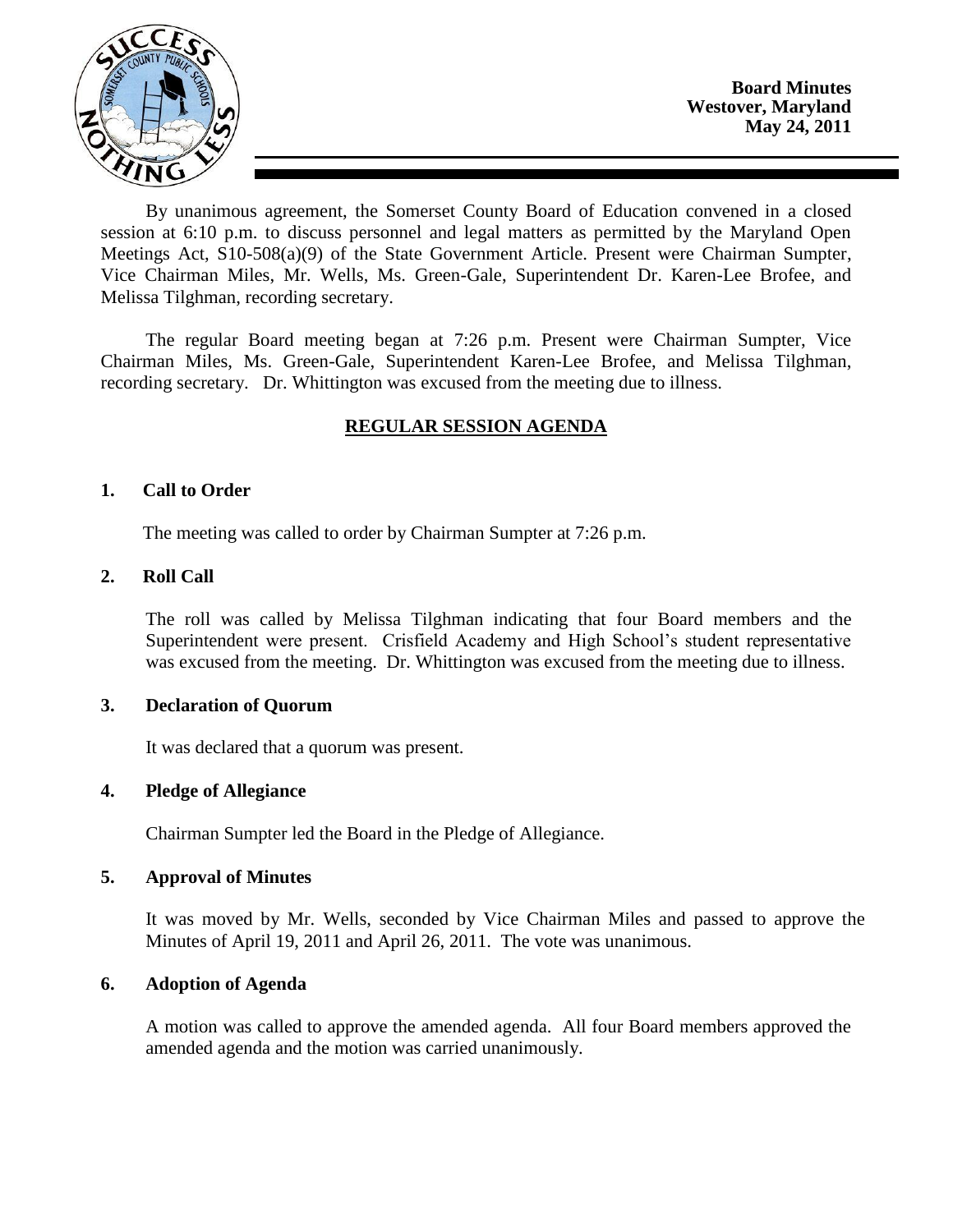

By unanimous agreement, the Somerset County Board of Education convened in a closed session at 6:10 p.m. to discuss personnel and legal matters as permitted by the Maryland Open Meetings Act, S10-508(a)(9) of the State Government Article. Present were Chairman Sumpter, Vice Chairman Miles, Mr. Wells, Ms. Green-Gale, Superintendent Dr. Karen-Lee Brofee, and Melissa Tilghman, recording secretary.

The regular Board meeting began at 7:26 p.m. Present were Chairman Sumpter, Vice Chairman Miles, Ms. Green-Gale, Superintendent Karen-Lee Brofee, and Melissa Tilghman, recording secretary. Dr. Whittington was excused from the meeting due to illness.

# **REGULAR SESSION AGENDA**

## **1. Call to Order**

The meeting was called to order by Chairman Sumpter at 7:26 p.m.

# **2. Roll Call**

The roll was called by Melissa Tilghman indicating that four Board members and the Superintendent were present. Crisfield Academy and High School's student representative was excused from the meeting. Dr. Whittington was excused from the meeting due to illness.

## **3. Declaration of Quorum**

It was declared that a quorum was present.

## **4. Pledge of Allegiance**

Chairman Sumpter led the Board in the Pledge of Allegiance.

## **5. Approval of Minutes**

It was moved by Mr. Wells, seconded by Vice Chairman Miles and passed to approve the Minutes of April 19, 2011 and April 26, 2011. The vote was unanimous.

# **6. Adoption of Agenda**

A motion was called to approve the amended agenda. All four Board members approved the amended agenda and the motion was carried unanimously.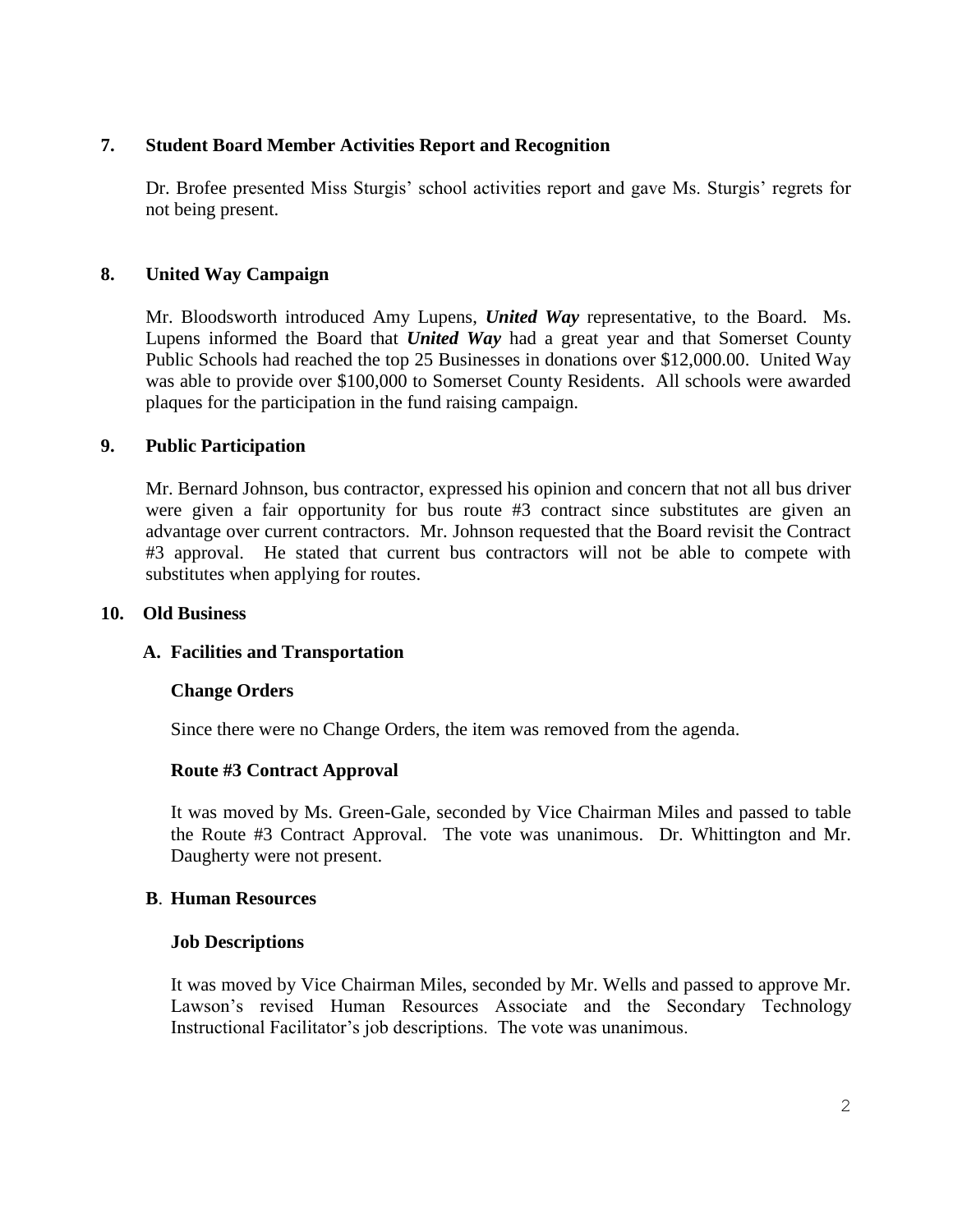# **7. Student Board Member Activities Report and Recognition**

Dr. Brofee presented Miss Sturgis' school activities report and gave Ms. Sturgis' regrets for not being present.

# **8. United Way Campaign**

Mr. Bloodsworth introduced Amy Lupens, *United Way* representative, to the Board. Ms. Lupens informed the Board that *United Way* had a great year and that Somerset County Public Schools had reached the top 25 Businesses in donations over \$12,000.00. United Way was able to provide over \$100,000 to Somerset County Residents. All schools were awarded plaques for the participation in the fund raising campaign.

## **9. Public Participation**

Mr. Bernard Johnson, bus contractor, expressed his opinion and concern that not all bus driver were given a fair opportunity for bus route #3 contract since substitutes are given an advantage over current contractors. Mr. Johnson requested that the Board revisit the Contract #3 approval. He stated that current bus contractors will not be able to compete with substitutes when applying for routes.

### **10. Old Business**

## **A. Facilities and Transportation**

## **Change Orders**

Since there were no Change Orders, the item was removed from the agenda.

## **Route #3 Contract Approval**

It was moved by Ms. Green-Gale, seconded by Vice Chairman Miles and passed to table the Route #3 Contract Approval. The vote was unanimous. Dr. Whittington and Mr. Daugherty were not present.

## **B**. **Human Resources**

## **Job Descriptions**

It was moved by Vice Chairman Miles, seconded by Mr. Wells and passed to approve Mr. Lawson's revised Human Resources Associate and the Secondary Technology Instructional Facilitator's job descriptions. The vote was unanimous.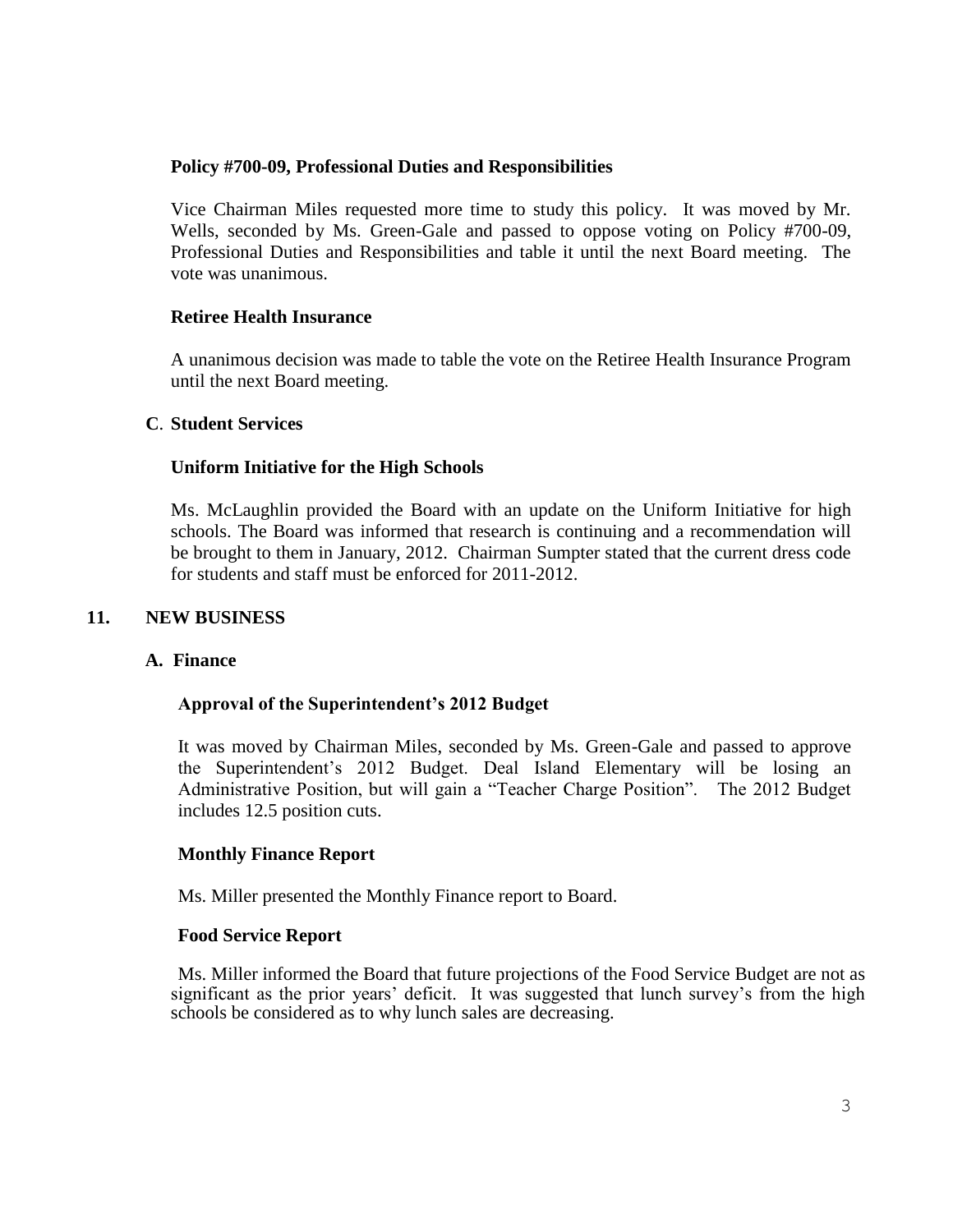### **Policy #700-09, Professional Duties and Responsibilities**

Vice Chairman Miles requested more time to study this policy. It was moved by Mr. Wells, seconded by Ms. Green-Gale and passed to oppose voting on Policy #700-09, Professional Duties and Responsibilities and table it until the next Board meeting. The vote was unanimous.

### **Retiree Health Insurance**

A unanimous decision was made to table the vote on the Retiree Health Insurance Program until the next Board meeting.

### **C**. **Student Services**

### **Uniform Initiative for the High Schools**

Ms. McLaughlin provided the Board with an update on the Uniform Initiative for high schools. The Board was informed that research is continuing and a recommendation will be brought to them in January, 2012. Chairman Sumpter stated that the current dress code for students and staff must be enforced for 2011-2012.

#### **11. NEW BUSINESS**

#### **A. Finance**

#### **Approval of the Superintendent's 2012 Budget**

It was moved by Chairman Miles, seconded by Ms. Green-Gale and passed to approve the Superintendent's 2012 Budget. Deal Island Elementary will be losing an Administrative Position, but will gain a "Teacher Charge Position". The 2012 Budget includes 12.5 position cuts.

## **Monthly Finance Report**

Ms. Miller presented the Monthly Finance report to Board.

#### **Food Service Report**

Ms. Miller informed the Board that future projections of the Food Service Budget are not as significant as the prior years' deficit. It was suggested that lunch survey's from the high schools be considered as to why lunch sales are decreasing.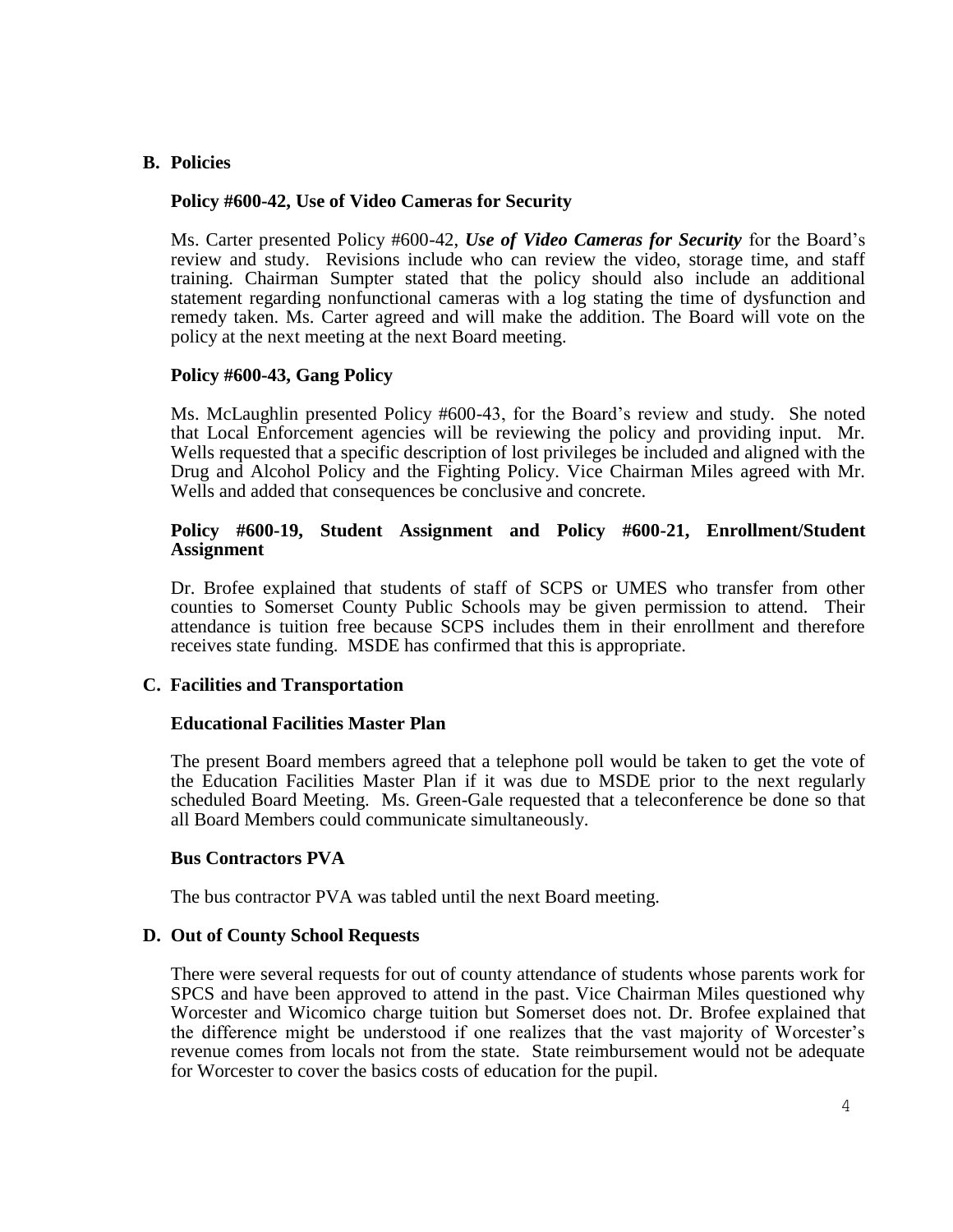### **B. Policies**

#### **Policy #600-42, Use of Video Cameras for Security**

Ms. Carter presented Policy #600-42, *Use of Video Cameras for Security* for the Board's review and study. Revisions include who can review the video, storage time, and staff training. Chairman Sumpter stated that the policy should also include an additional statement regarding nonfunctional cameras with a log stating the time of dysfunction and remedy taken. Ms. Carter agreed and will make the addition. The Board will vote on the policy at the next meeting at the next Board meeting.

### **Policy #600-43, Gang Policy**

Ms. McLaughlin presented Policy #600-43, for the Board's review and study. She noted that Local Enforcement agencies will be reviewing the policy and providing input. Mr. Wells requested that a specific description of lost privileges be included and aligned with the Drug and Alcohol Policy and the Fighting Policy. Vice Chairman Miles agreed with Mr. Wells and added that consequences be conclusive and concrete.

#### **Policy #600-19, Student Assignment and Policy #600-21, Enrollment/Student Assignment**

Dr. Brofee explained that students of staff of SCPS or UMES who transfer from other counties to Somerset County Public Schools may be given permission to attend. Their attendance is tuition free because SCPS includes them in their enrollment and therefore receives state funding. MSDE has confirmed that this is appropriate.

## **C. Facilities and Transportation**

#### **Educational Facilities Master Plan**

The present Board members agreed that a telephone poll would be taken to get the vote of the Education Facilities Master Plan if it was due to MSDE prior to the next regularly scheduled Board Meeting. Ms. Green-Gale requested that a teleconference be done so that all Board Members could communicate simultaneously.

#### **Bus Contractors PVA**

The bus contractor PVA was tabled until the next Board meeting.

#### **D. Out of County School Requests**

There were several requests for out of county attendance of students whose parents work for SPCS and have been approved to attend in the past. Vice Chairman Miles questioned why Worcester and Wicomico charge tuition but Somerset does not. Dr. Brofee explained that the difference might be understood if one realizes that the vast majority of Worcester's revenue comes from locals not from the state. State reimbursement would not be adequate for Worcester to cover the basics costs of education for the pupil.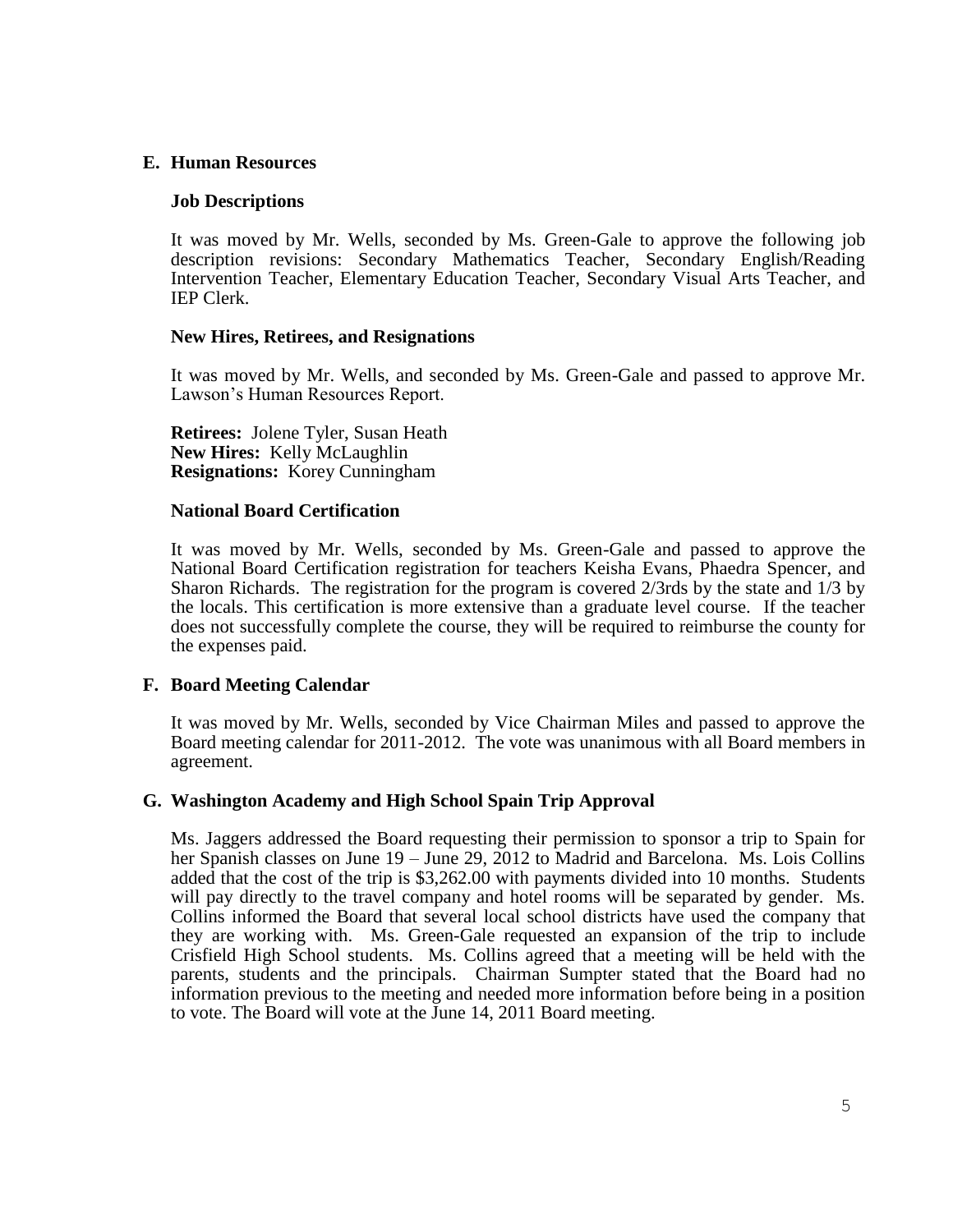## **E. Human Resources**

#### **Job Descriptions**

It was moved by Mr. Wells, seconded by Ms. Green-Gale to approve the following job description revisions: Secondary Mathematics Teacher, Secondary English/Reading Intervention Teacher, Elementary Education Teacher, Secondary Visual Arts Teacher, and IEP Clerk.

#### **New Hires, Retirees, and Resignations**

It was moved by Mr. Wells, and seconded by Ms. Green-Gale and passed to approve Mr. Lawson's Human Resources Report.

**Retirees:** Jolene Tyler, Susan Heath **New Hires:** Kelly McLaughlin **Resignations:** Korey Cunningham

#### **National Board Certification**

It was moved by Mr. Wells, seconded by Ms. Green-Gale and passed to approve the National Board Certification registration for teachers Keisha Evans, Phaedra Spencer, and Sharon Richards. The registration for the program is covered 2/3rds by the state and 1/3 by the locals. This certification is more extensive than a graduate level course. If the teacher does not successfully complete the course, they will be required to reimburse the county for the expenses paid.

#### **F. Board Meeting Calendar**

It was moved by Mr. Wells, seconded by Vice Chairman Miles and passed to approve the Board meeting calendar for 2011-2012. The vote was unanimous with all Board members in agreement.

#### **G. Washington Academy and High School Spain Trip Approval**

Ms. Jaggers addressed the Board requesting their permission to sponsor a trip to Spain for her Spanish classes on June 19 – June 29, 2012 to Madrid and Barcelona. Ms. Lois Collins added that the cost of the trip is \$3,262.00 with payments divided into 10 months. Students will pay directly to the travel company and hotel rooms will be separated by gender. Ms. Collins informed the Board that several local school districts have used the company that they are working with. Ms. Green-Gale requested an expansion of the trip to include Crisfield High School students. Ms. Collins agreed that a meeting will be held with the parents, students and the principals. Chairman Sumpter stated that the Board had no information previous to the meeting and needed more information before being in a position to vote. The Board will vote at the June 14, 2011 Board meeting.